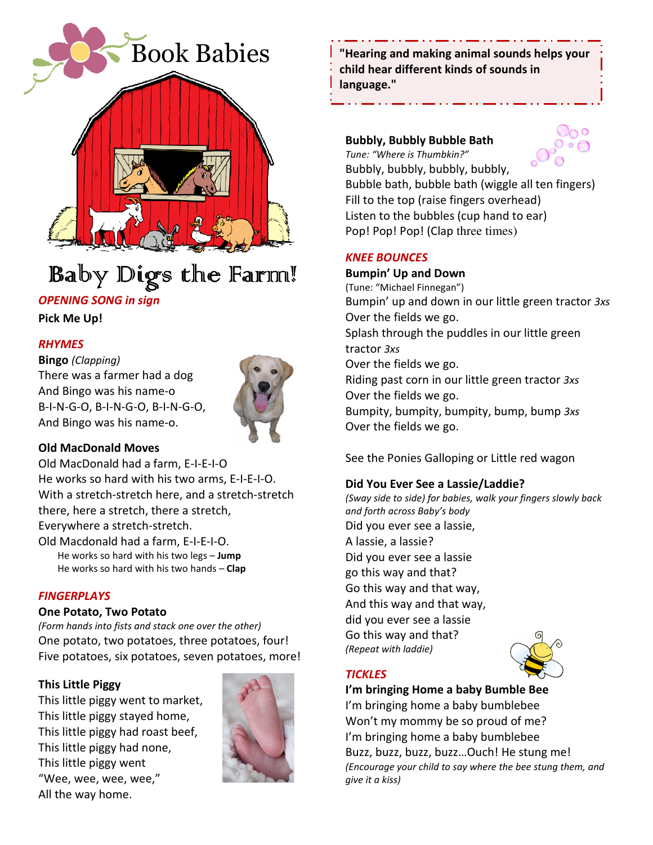

# Baby Digs the Farm!

# OPENING SONG in sign

Pick Me Up!

## RHYMES

#### Bingo (Clapping)

There was a farmer had a dog And Bingo was his name-o B-I-N-G-O, B-I-N-G-O, B-I-N-G-O, And Bingo was his name-o.



### Old MacDonald Moves

Old MacDonald had a farm, E-I-E-I-O He works so hard with his two arms, E-I-E-I-O. With a stretch-stretch here, and a stretch-stretch there, here a stretch, there a stretch, Everywhere a stretch-stretch. Old Macdonald had a farm, E-I-E-I-O.

He works so hard with his two legs - Jump He works so hard with his two hands - Clap

### **FINGERPLAYS**

#### One Potato, Two Potato

(Form hands into fists and stack one over the other) One potato, two potatoes, three potatoes, four! Five potatoes, six potatoes, seven potatoes, more!

### This Little Piggy

This little piggy went to market, This little piggy stayed home, This little piggy had roast beef, This little piggy had none, This little piggy went "Wee, wee, wee, wee," All the way home.



"Hearing and making animal sounds helps your child hear different kinds of sounds in language."

## Bubbly, Bubbly Bubble Bath



Tune: "Where is Thumbkin?" Bubbly, bubbly, bubbly, bubbly, Bubble bath, bubble bath (wiggle all ten fingers) Fill to the top (raise fingers overhead) Listen to the bubbles (cup hand to ear) Pop! Pop! Pop! (Clap three times)

### KNEE BOUNCES

# Bumpin' Up and Down (Tune: "Michael Finnegan") Bumpin' up and down in our little green tractor 3xs Over the fields we go. Splash through the puddles in our little green tractor 3xs Over the fields we go. Riding past corn in our little green tractor 3xs Over the fields we go. Bumpity, bumpity, bumpity, bump, bump 3xs Over the fields we go.

See the Ponies Galloping or Little red wagon

## Did You Ever See a Lassie/Laddie?

(Sway side to side) for babies, walk your fingers slowly back and forth across Baby's body Did you ever see a lassie, A lassie, a lassie? Did you ever see a lassie go this way and that? Go this way and that way, And this way and that way, did you ever see a lassie Go this way and that? (Repeat with laddie)

## **TICKLES**

I'm bringing Home a baby Bumble Bee

I'm bringing home a baby bumblebee Won't my mommy be so proud of me? I'm bringing home a baby bumblebee Buzz, buzz, buzz, buzz…Ouch! He stung me! (Encourage your child to say where the bee stung them, and give it a kiss)